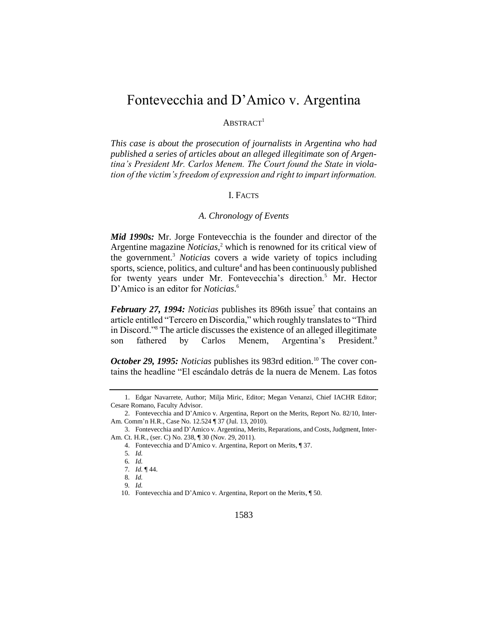# Fontevecchia and D'Amico v. Argentina

# $ABSTRACT<sup>1</sup>$

*This case is about the prosecution of journalists in Argentina who had published a series of articles about an alleged illegitimate son of Argentina's President Mr. Carlos Menem. The Court found the State in violation of the victim's freedom of expression and right to impart information.*

# I. FACTS

# *A. Chronology of Events*

*Mid 1990s:* Mr. Jorge Fontevecchia is the founder and director of the Argentine magazine *Noticias*, <sup>2</sup> which is renowned for its critical view of the government.<sup>3</sup> *Noticias* covers a wide variety of topics including sports, science, politics, and culture<sup>4</sup> and has been continuously published for twenty years under Mr. Fontevecchia's direction.<sup>5</sup> Mr. Hector D'Amico is an editor for *Noticias*. 6

February 27, 1994: Noticias publishes its 896th issue<sup>7</sup> that contains an article entitled "Tercero en Discordia," which roughly translates to "Third in Discord."<sup>8</sup> The article discusses the existence of an alleged illegitimate son fathered by Carlos Menem, Argentina's President.<sup>9</sup>

*October 29, 1995: Noticias publishes its 983rd edition.*<sup>10</sup> The cover contains the headline "El escándalo detrás de la nuera de Menem. Las fotos

<sup>1.</sup> Edgar Navarrete, Author; Milja Miric, Editor; Megan Venanzi, Chief IACHR Editor; Cesare Romano, Faculty Advisor.

<sup>2.</sup> Fontevecchia and D'Amico v. Argentina, Report on the Merits, Report No. 82/10, Inter-Am. Comm'n H.R., Case No. 12.524 ¶ 37 (Jul. 13, 2010).

<sup>3.</sup> Fontevecchia and D'Amico v. Argentina, Merits, Reparations, and Costs, Judgment, Inter-Am. Ct. H.R., (ser. C) No. 238, ¶ 30 (Nov. 29, 2011).

<sup>4.</sup> Fontevecchia and D'Amico v. Argentina, Report on Merits, ¶ 37.

<sup>5</sup>*. Id.* 

<sup>6</sup>*. Id.* 

<sup>7</sup>*. Id.* ¶ 44.

<sup>8</sup>*. Id.* 

<sup>9</sup>*. Id.* 

<sup>10.</sup> Fontevecchia and D'Amico v. Argentina, Report on the Merits, ¶ 50.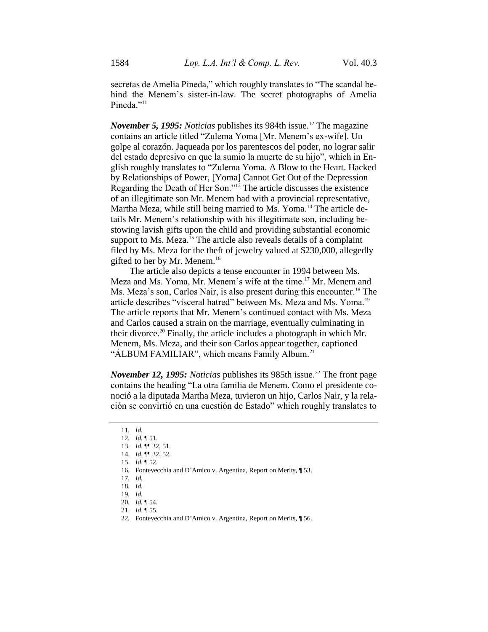secretas de Amelia Pineda," which roughly translates to "The scandal behind the Menem's sister-in-law. The secret photographs of Amelia Pineda."<sup>11</sup>

*November 5, 1995: Noticias* publishes its 984th issue.<sup>12</sup> The magazine contains an article titled "Zulema Yoma [Mr. Menem's ex-wife]. Un golpe al corazón. Jaqueada por los parentescos del poder, no lograr salir del estado depresivo en que la sumio la muerte de su hijo", which in English roughly translates to "Zulema Yoma. A Blow to the Heart. Hacked by Relationships of Power, [Yoma] Cannot Get Out of the Depression Regarding the Death of Her Son."<sup>13</sup> The article discusses the existence of an illegitimate son Mr. Menem had with a provincial representative, Martha Meza, while still being married to Ms. Yoma.<sup>14</sup> The article details Mr. Menem's relationship with his illegitimate son, including bestowing lavish gifts upon the child and providing substantial economic support to Ms. Meza.<sup>15</sup> The article also reveals details of a complaint filed by Ms. Meza for the theft of jewelry valued at \$230,000, allegedly gifted to her by Mr. Menem.<sup>16</sup>

The article also depicts a tense encounter in 1994 between Ms. Meza and Ms. Yoma, Mr. Menem's wife at the time.<sup>17</sup> Mr. Menem and Ms. Meza's son, Carlos Nair, is also present during this encounter.<sup>18</sup> The article describes "visceral hatred" between Ms. Meza and Ms. Yoma.<sup>19</sup> The article reports that Mr. Menem's continued contact with Ms. Meza and Carlos caused a strain on the marriage, eventually culminating in their divorce.<sup>20</sup> Finally, the article includes a photograph in which Mr. Menem, Ms. Meza, and their son Carlos appear together, captioned "ALBUM FAMILIAR", which means Family Album.<sup>21</sup>

*November 12, 1995: Noticias* publishes its 985th issue.<sup>22</sup> The front page contains the heading "La otra familia de Menem. Como el presidente conoció a la diputada Martha Meza, tuvieron un hijo, Carlos Nair, y la relación se convirtió en una cuestión de Estado" which roughly translates to

<sup>11</sup>*. Id.* 

<sup>12</sup>*. Id.* ¶ 51.

<sup>13.</sup> *Id.* ¶¶ 32, 51.

<sup>14.</sup> *Id*. ¶¶ 32, 52. 15. *Id*. ¶ 52.

<sup>16</sup>*.* Fontevecchia and D'Amico v. Argentina, Report on Merits, ¶ 53.

<sup>17</sup>*. Id.* 

<sup>18</sup>*. Id.* 

<sup>19</sup>*. Id.* 

<sup>20</sup>*. Id.* ¶ 54.

<sup>21.</sup> *Id*. ¶ 55.

<sup>22</sup>*.* Fontevecchia and D'Amico v. Argentina, Report on Merits, ¶ 56.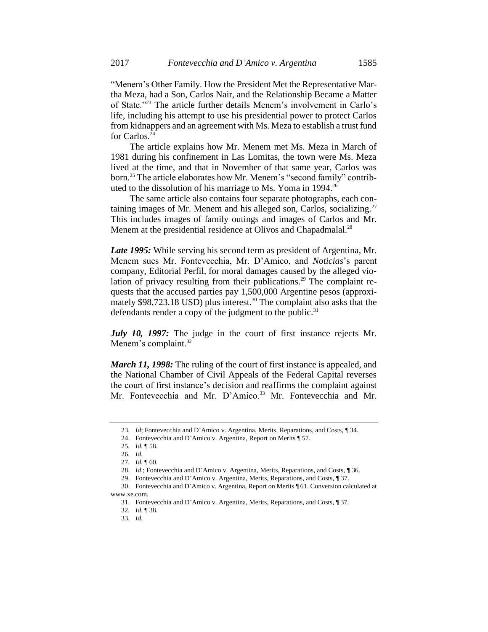"Menem's Other Family. How the President Met the Representative Martha Meza, had a Son, Carlos Nair, and the Relationship Became a Matter of State."<sup>23</sup> The article further details Menem's involvement in Carlo's life, including his attempt to use his presidential power to protect Carlos from kidnappers and an agreement with Ms. Meza to establish a trust fund for Carlos.<sup>24</sup>

The article explains how Mr. Menem met Ms. Meza in March of 1981 during his confinement in Las Lomitas, the town were Ms. Meza lived at the time, and that in November of that same year, Carlos was born.<sup>25</sup> The article elaborates how Mr. Menem's "second family" contributed to the dissolution of his marriage to Ms. Yoma in  $1994.^{26}$ 

The same article also contains four separate photographs, each containing images of Mr. Menem and his alleged son, Carlos, socializing.<sup>27</sup> This includes images of family outings and images of Carlos and Mr. Menem at the presidential residence at Olivos and Chapadmalal.<sup>28</sup>

*Late 1995:* While serving his second term as president of Argentina, Mr. Menem sues Mr. Fontevecchia, Mr. D'Amico, and *Noticias*'s parent company, Editorial Perfil, for moral damages caused by the alleged violation of privacy resulting from their publications.<sup>29</sup> The complaint requests that the accused parties pay 1,500,000 Argentine pesos (approximately  $$98,723.18$  USD) plus interest.<sup>30</sup> The complaint also asks that the defendants render a copy of the judgment to the public. $31$ 

*July 10, 1997:* The judge in the court of first instance rejects Mr. Menem's complaint. $32$ 

*March 11, 1998:* The ruling of the court of first instance is appealed, and the National Chamber of Civil Appeals of the Federal Capital reverses the court of first instance's decision and reaffirms the complaint against Mr. Fontevecchia and Mr. D'Amico.<sup>33</sup> Mr. Fontevecchia and Mr.

<sup>23</sup>*. Id*; Fontevecchia and D'Amico v. Argentina, Merits, Reparations, and Costs, ¶ 34.

<sup>24.</sup> Fontevecchia and D'Amico v. Argentina, Report on Merits ¶ 57.

<sup>25</sup>*. Id.* ¶ 58.

<sup>26</sup>*. Id.*

<sup>27</sup>*. Id.* ¶ 60.

<sup>28.</sup> *Id*.; Fontevecchia and D'Amico v. Argentina, Merits, Reparations, and Costs, ¶ 36.

<sup>29.</sup> Fontevecchia and D'Amico v. Argentina, Merits, Reparations, and Costs, ¶ 37.

<sup>30.</sup> Fontevecchia and D'Amico v. Argentina, Report on Merits ¶ 61. Conversion calculated at www.xe.com.

<sup>31.</sup> Fontevecchia and D'Amico v. Argentina, Merits, Reparations, and Costs, ¶ 37.

<sup>32</sup>*. Id*. ¶ 38.

<sup>33</sup>*. Id.*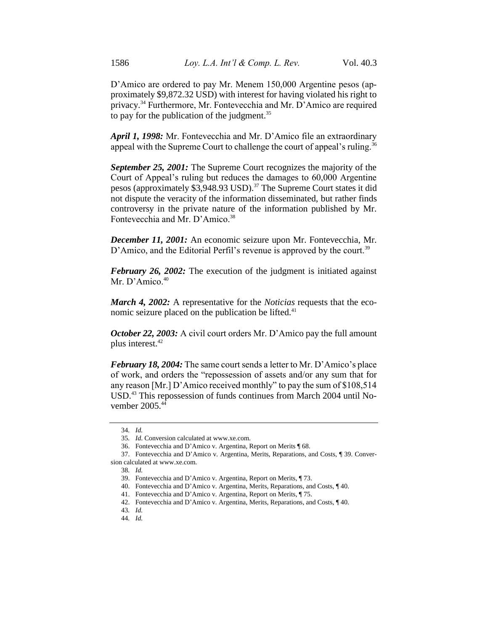D'Amico are ordered to pay Mr. Menem 150,000 Argentine pesos (approximately \$9,872.32 USD) with interest for having violated his right to privacy.<sup>34</sup> Furthermore, Mr. Fontevecchia and Mr. D'Amico are required to pay for the publication of the judgment.<sup>35</sup>

*April 1, 1998:* Mr. Fontevecchia and Mr. D'Amico file an extraordinary appeal with the Supreme Court to challenge the court of appeal's ruling.<sup>36</sup>

*September 25, 2001:* The Supreme Court recognizes the majority of the Court of Appeal's ruling but reduces the damages to 60,000 Argentine pesos (approximately \$3,948.93 USD).<sup>37</sup> The Supreme Court states it did not dispute the veracity of the information disseminated, but rather finds controversy in the private nature of the information published by Mr. Fontevecchia and Mr. D'Amico.<sup>38</sup>

*December 11, 2001:* An economic seizure upon Mr. Fontevecchia, Mr. D'Amico, and the Editorial Perfil's revenue is approved by the court.<sup>39</sup>

*February 26, 2002:* The execution of the judgment is initiated against Mr. D'Amico. $40$ 

*March 4, 2002:* A representative for the *Noticias* requests that the economic seizure placed on the publication be lifted. $41$ 

*October 22, 2003:* A civil court orders Mr. D'Amico pay the full amount plus interest.<sup>42</sup>

*February 18, 2004:* The same court sends a letter to Mr. D'Amico's place of work, and orders the "repossession of assets and/or any sum that for any reason [Mr.] D'Amico received monthly" to pay the sum of \$108,514 USD.<sup>43</sup> This repossession of funds continues from March 2004 until November 2005.<sup>44</sup>

<sup>34</sup>*. Id.* 

<sup>35</sup>*. Id*. Conversion calculated at www.xe.com.

<sup>36.</sup> Fontevecchia and D'Amico v. Argentina, Report on Merits ¶ 68.

<sup>37.</sup> Fontevecchia and D'Amico v. Argentina, Merits, Reparations, and Costs, ¶ 39. Conversion calculated at www.xe.com.

<sup>38</sup>*. Id.* 

<sup>39.</sup> Fontevecchia and D'Amico v. Argentina, Report on Merits, ¶ 73.

<sup>40.</sup> Fontevecchia and D'Amico v. Argentina, Merits, Reparations, and Costs, ¶ 40.

<sup>41.</sup> Fontevecchia and D'Amico v. Argentina, Report on Merits, ¶ 75.

<sup>42.</sup> Fontevecchia and D'Amico v. Argentina, Merits, Reparations, and Costs, ¶ 40.

<sup>43</sup>*. Id.* 

<sup>44</sup>*. Id.*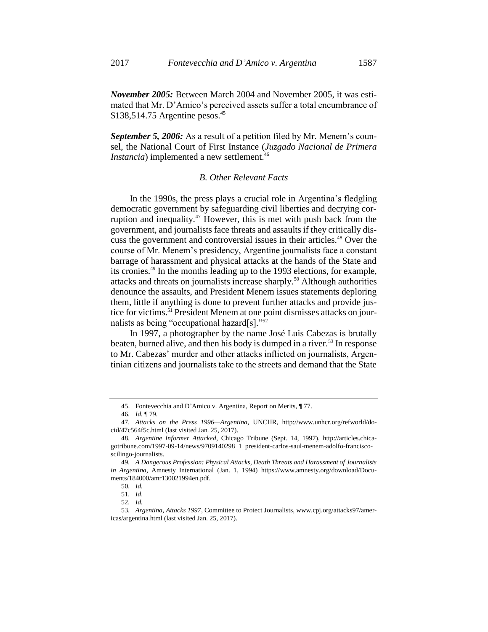*September 5, 2006:* As a result of a petition filed by Mr. Menem's counsel, the National Court of First Instance (*Juzgado Nacional de Primera Instancia*) implemented a new settlement.<sup>46</sup>

### *B. Other Relevant Facts*

In the 1990s, the press plays a crucial role in Argentina's fledgling democratic government by safeguarding civil liberties and decrying corruption and inequality.<sup>47</sup> However, this is met with push back from the government, and journalists face threats and assaults if they critically discuss the government and controversial issues in their articles.<sup>48</sup> Over the course of Mr. Menem's presidency, Argentine journalists face a constant barrage of harassment and physical attacks at the hands of the State and its cronies.<sup>49</sup> In the months leading up to the 1993 elections, for example, attacks and threats on journalists increase sharply.<sup>50</sup> Although authorities denounce the assaults, and President Menem issues statements deploring them, little if anything is done to prevent further attacks and provide justice for victims.<sup>51</sup> President Menem at one point dismisses attacks on journalists as being "occupational hazard[s]."<sup>52</sup>

In 1997, a photographer by the name José Luis Cabezas is brutally beaten, burned alive, and then his body is dumped in a river.<sup>53</sup> In response to Mr. Cabezas' murder and other attacks inflicted on journalists, Argentinian citizens and journalists take to the streets and demand that the State

<sup>45.</sup> Fontevecchia and D'Amico v. Argentina, Report on Merits, ¶ 77.

<sup>46</sup>*. Id.* ¶ 79.

<sup>47</sup>*. Attacks on the Press 1996—Argentina*, UNCHR, http://www.unhcr.org/refworld/docid/47c564f5c.html (last visited Jan. 25, 2017).

<sup>48</sup>*. Argentine Informer Attacked*, Chicago Tribune (Sept. 14, 1997), http://articles.chicagotribune.com/1997-09-14/news/9709140298\_1\_president-carlos-saul-menem-adolfo-franciscoscilingo-journalists.

<sup>49</sup>*. A Dangerous Profession: Physical Attacks, Death Threats and Harassment of Journalists in Argentina*, Amnesty International (Jan. 1, 1994) https://www.amnesty.org/download/Documents/184000/amr130021994en.pdf.

<sup>50</sup>*. Id.* 

<sup>51</sup>*. Id*.

<sup>52</sup>*. Id.*

<sup>53</sup>*. Argentina, Attacks 1997*, Committee to Protect Journalists, www.cpj.org/attacks97/americas/argentina.html (last visited Jan. 25, 2017).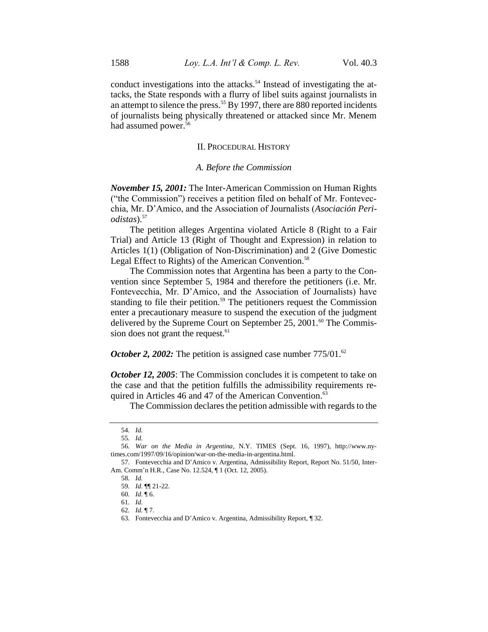conduct investigations into the attacks.<sup>54</sup> Instead of investigating the attacks, the State responds with a flurry of libel suits against journalists in an attempt to silence the press.<sup>55</sup> By 1997, there are 880 reported incidents of journalists being physically threatened or attacked since Mr. Menem had assumed power.<sup>56</sup>

#### II. PROCEDURAL HISTORY

#### *A. Before the Commission*

*November 15, 2001:* The Inter-American Commission on Human Rights ("the Commission") receives a petition filed on behalf of Mr. Fontevecchia, Mr. D'Amico, and the Association of Journalists (*Asociación Periodistas*).<sup>57</sup>

The petition alleges Argentina violated Article 8 (Right to a Fair Trial) and Article 13 (Right of Thought and Expression) in relation to Articles 1(1) (Obligation of Non-Discrimination) and 2 (Give Domestic Legal Effect to Rights) of the American Convention.<sup>58</sup>

The Commission notes that Argentina has been a party to the Convention since September 5, 1984 and therefore the petitioners (i.e. Mr. Fontevecchia, Mr. D'Amico, and the Association of Journalists) have standing to file their petition.<sup>59</sup> The petitioners request the Commission enter a precautionary measure to suspend the execution of the judgment delivered by the Supreme Court on September 25,  $2001.^{60}$  The Commission does not grant the request.<sup>61</sup>

*October 2, 2002:* The petition is assigned case number 775/01.<sup>62</sup>

*October 12, 2005*: The Commission concludes it is competent to take on the case and that the petition fulfills the admissibility requirements required in Articles 46 and 47 of the American Convention.<sup>63</sup>

The Commission declares the petition admissible with regards to the

<sup>54</sup>*. Id.* 

<sup>55</sup>*. Id.* 

<sup>56</sup>*. War on the Media in Argentina*, N.Y. TIMES (Sept. 16, 1997), http://www.nytimes.com/1997/09/16/opinion/war-on-the-media-in-argentina.html.

<sup>57.</sup> Fontevecchia and D'Amico v. Argentina, Admissibility Report, Report No. 51/50, Inter-Am. Comm'n H.R., Case No. 12.524, ¶ 1 (Oct. 12, 2005).

<sup>58</sup>*. Id.* 

<sup>59</sup>*. Id.* ¶¶ 21-22.

<sup>60</sup>*. Id.* ¶ 6.

<sup>61</sup>*. Id.* 

<sup>62</sup>*. Id.* ¶ 7.

<sup>63</sup>*.* Fontevecchia and D'Amico v. Argentina, Admissibility Report, ¶ 32.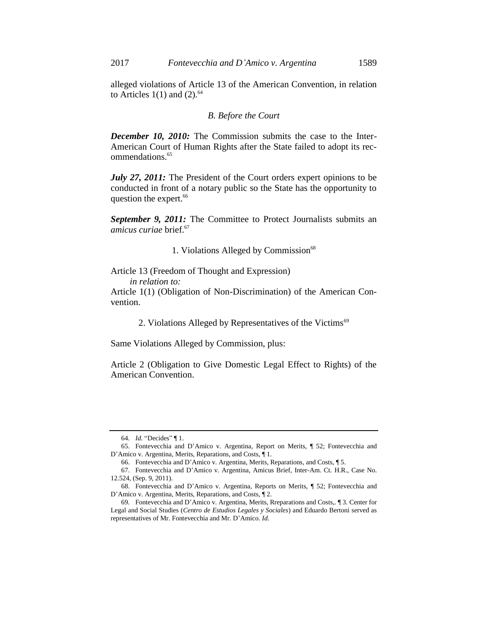alleged violations of Article 13 of the American Convention, in relation to Articles  $1(1)$  and  $(2)$ .<sup>64</sup>

### *B. Before the Court*

*December 10, 2010:* The Commission submits the case to the Inter-American Court of Human Rights after the State failed to adopt its recommendations.<sup>65</sup>

*July 27, 2011:* The President of the Court orders expert opinions to be conducted in front of a notary public so the State has the opportunity to question the expert.<sup>66</sup>

*September 9, 2011:* The Committee to Protect Journalists submits an *amicus curiae* brief.<sup>67</sup>

1. Violations Alleged by Commission<sup>68</sup>

Article 13 (Freedom of Thought and Expression) *in relation to:*

Article 1(1) (Obligation of Non-Discrimination) of the American Convention.

2. Violations Alleged by Representatives of the Victims<sup>69</sup>

Same Violations Alleged by Commission, plus:

Article 2 (Obligation to Give Domestic Legal Effect to Rights) of the American Convention.

<sup>64</sup>*. Id.* "Decides" ¶ 1.

<sup>65.</sup> Fontevecchia and D'Amico v. Argentina, Report on Merits, ¶ 52; Fontevecchia and D'Amico v. Argentina, Merits, Reparations, and Costs, ¶ 1.

<sup>66.</sup> Fontevecchia and D'Amico v. Argentina, Merits, Reparations, and Costs, ¶ 5.

<sup>67.</sup> Fontevecchia and D'Amico v. Argentina, Amicus Brief, Inter-Am. Ct. H.R., Case No. 12.524, (Sep. 9, 2011).

<sup>68.</sup> Fontevecchia and D'Amico v. Argentina, Reports on Merits, ¶ 52; Fontevecchia and D'Amico v. Argentina, Merits, Reparations, and Costs*,* ¶ 2.

<sup>69</sup>*.* Fontevecchia and D'Amico v. Argentina, Merits, Rreparations and Costs,*.* ¶ 3. Center for Legal and Social Studies (*Centro de Estudios Legales y Sociales*) and Eduardo Bertoni served as representatives of Mr. Fontevecchia and Mr. D'Amico. *Id*.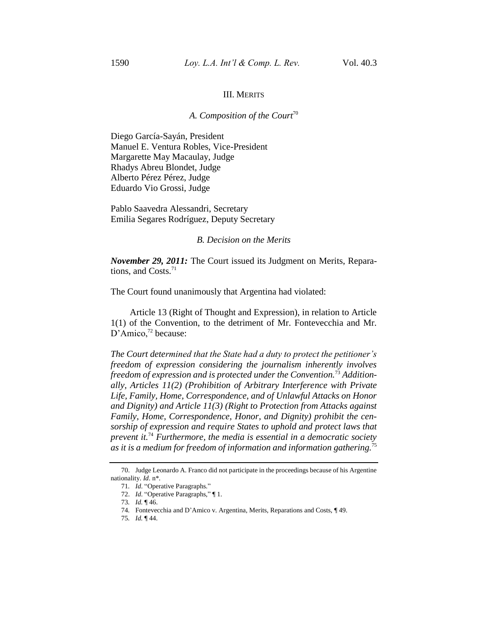#### III. MERITS

# *A. Composition of the Court*<sup>70</sup>

Diego García-Sayán, President Manuel E. Ventura Robles, Vice-President Margarette May Macaulay, Judge Rhadys Abreu Blondet, Judge Alberto Pérez Pérez, Judge Eduardo Vio Grossi, Judge

Pablo Saavedra Alessandri, Secretary Emilia Segares Rodríguez, Deputy Secretary

#### *B. Decision on the Merits*

*November 29, 2011:* The Court issued its Judgment on Merits, Reparations, and Costs.<sup>71</sup>

The Court found unanimously that Argentina had violated:

Article 13 (Right of Thought and Expression), in relation to Article 1(1) of the Convention, to the detriment of Mr. Fontevecchia and Mr. D'Amico,<sup>72</sup> because:

*The Court determined that the State had a duty to protect the petitioner's freedom of expression considering the journalism inherently involves freedom of expression and is protected under the Convention.*<sup>73</sup> *Additionally, Articles 11(2) (Prohibition of Arbitrary Interference with Private Life, Family, Home, Correspondence, and of Unlawful Attacks on Honor and Dignity) and Article 11(3) (Right to Protection from Attacks against Family, Home, Correspondence, Honor, and Dignity) prohibit the censorship of expression and require States to uphold and protect laws that prevent it.*<sup>74</sup> *Furthermore, the media is essential in a democratic society as it is a medium for freedom of information and information gathering.*<sup>75</sup>

<sup>70.</sup> Judge Leonardo A. Franco did not participate in the proceedings because of his Argentine nationality. *Id*. n\*.

<sup>71</sup>*. Id*. "Operative Paragraphs."

<sup>72.</sup> *Id*. "Operative Paragraphs," ¶ 1.

<sup>73</sup>*. Id.* ¶ 46.

<sup>74</sup>*.* Fontevecchia and D'Amico v. Argentina, Merits, Reparations and Costs, ¶ 49.

<sup>75</sup>*. Id.* ¶ 44.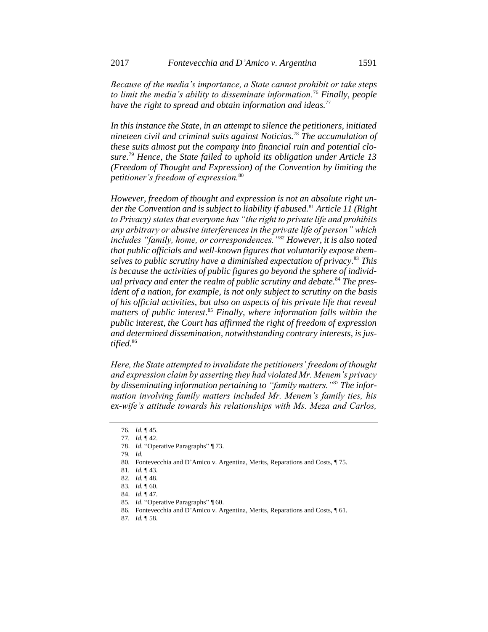*Because of the media's importance, a State cannot prohibit or take steps to limit the media's ability to disseminate information.*<sup>76</sup> *Finally, people have the right to spread and obtain information and ideas.*<sup>77</sup>

*In this instance the State, in an attempt to silence the petitioners, initiated nineteen civil and criminal suits against Noticias.*<sup>78</sup> *The accumulation of these suits almost put the company into financial ruin and potential closure.*<sup>79</sup> *Hence, the State failed to uphold its obligation under Article 13 (Freedom of Thought and Expression) of the Convention by limiting the petitioner's freedom of expression.*<sup>80</sup>

*However, freedom of thought and expression is not an absolute right under the Convention and is subject to liability if abused.*<sup>81</sup> *Article 11 (Right to Privacy) states that everyone has "the right to private life and prohibits any arbitrary or abusive interferences in the private life of person" which includes "family, home, or correspondences."*<sup>82</sup> *However, it is also noted that public officials and well-known figures that voluntarily expose themselves to public scrutiny have a diminished expectation of privacy.*<sup>83</sup> *This is because the activities of public figures go beyond the sphere of individual privacy and enter the realm of public scrutiny and debate.*<sup>84</sup> *The president of a nation, for example, is not only subject to scrutiny on the basis of his official activities, but also on aspects of his private life that reveal matters of public interest.*<sup>85</sup> *Finally, where information falls within the public interest, the Court has affirmed the right of freedom of expression and determined dissemination, notwithstanding contrary interests, is justified.*<sup>86</sup>

*Here, the State attempted to invalidate the petitioners' freedom of thought and expression claim by asserting they had violated Mr. Menem's privacy by disseminating information pertaining to "family matters."*<sup>87</sup> *The information involving family matters included Mr. Menem's family ties, his ex-wife's attitude towards his relationships with Ms. Meza and Carlos,* 

<sup>76</sup>*. Id.* ¶ 45.

<sup>77</sup>*. Id.* ¶ 42.

<sup>78.</sup> *Id*. "Operative Paragraphs" ¶ 73.

<sup>79</sup>*. Id.*

<sup>80.</sup> Fontevecchia and D'Amico v. Argentina, Merits, Reparations and Costs, ¶ 75.

<sup>81</sup>*. Id.* ¶ 43.

<sup>82</sup>*. Id.* ¶ 48.

<sup>83</sup>*. Id.* ¶ 60.

<sup>84.</sup> *Id*. ¶ 47.

<sup>85</sup>*. Id*. "Operative Paragraphs" ¶ 60.

<sup>86</sup>*.* Fontevecchia and D'Amico v. Argentina, Merits, Reparations and Costs, ¶ 61.

<sup>87</sup>*. Id.* ¶ 58.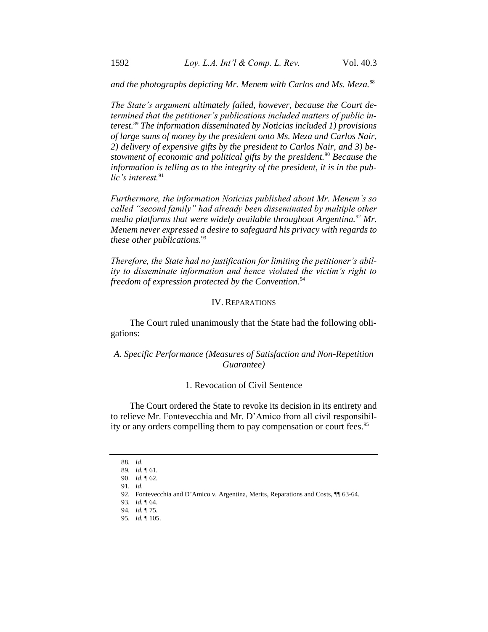*and the photographs depicting Mr. Menem with Carlos and Ms. Meza.*<sup>88</sup>

*The State's argument ultimately failed, however, because the Court determined that the petitioner's publications included matters of public interest.*<sup>89</sup> *The information disseminated by Noticias included 1) provisions of large sums of money by the president onto Ms. Meza and Carlos Nair, 2) delivery of expensive gifts by the president to Carlos Nair, and 3) bestowment of economic and political gifts by the president.*<sup>90</sup> *Because the information is telling as to the integrity of the president, it is in the public's interest.*<sup>91</sup>

*Furthermore, the information Noticias published about Mr. Menem's so called "second family" had already been disseminated by multiple other media platforms that were widely available throughout Argentina.*<sup>92</sup> *Mr. Menem never expressed a desire to safeguard his privacy with regards to these other publications.*<sup>93</sup>

*Therefore, the State had no justification for limiting the petitioner's ability to disseminate information and hence violated the victim's right to freedom of expression protected by the Convention.*<sup>94</sup>

# IV. REPARATIONS

The Court ruled unanimously that the State had the following obligations:

# *A. Specific Performance (Measures of Satisfaction and Non-Repetition Guarantee)*

# 1. Revocation of Civil Sentence

The Court ordered the State to revoke its decision in its entirety and to relieve Mr. Fontevecchia and Mr. D'Amico from all civil responsibility or any orders compelling them to pay compensation or court fees.<sup>95</sup>

<sup>88</sup>*. Id*.

<sup>89</sup>*. Id.* ¶ 61.

<sup>90.</sup> *Id*. ¶ 62.

<sup>91</sup>*. Id*.

<sup>92</sup>*.* Fontevecchia and D'Amico v*.* Argentina, Merits, Reparations and Costs, ¶¶ 63-64.

<sup>93</sup>*. Id.* ¶ 64.

<sup>94</sup>*. Id.* ¶ 75.

<sup>95</sup>*. Id.* ¶ 105.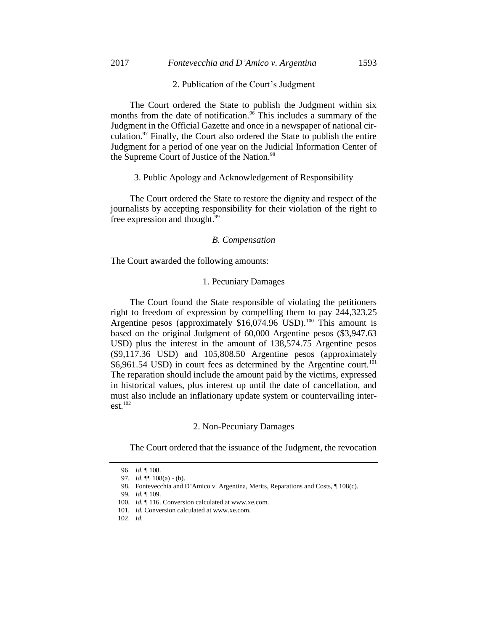### 2017 *Fontevecchia and D'Amico v. Argentina* 1593

#### 2. Publication of the Court's Judgment

The Court ordered the State to publish the Judgment within six months from the date of notification.<sup>96</sup> This includes a summary of the Judgment in the Official Gazette and once in a newspaper of national circulation. $97$  Finally, the Court also ordered the State to publish the entire Judgment for a period of one year on the Judicial Information Center of the Supreme Court of Justice of the Nation.<sup>98</sup>

# 3. Public Apology and Acknowledgement of Responsibility

The Court ordered the State to restore the dignity and respect of the journalists by accepting responsibility for their violation of the right to free expression and thought.<sup>99</sup>

#### *B. Compensation*

The Court awarded the following amounts:

### 1. Pecuniary Damages

The Court found the State responsible of violating the petitioners right to freedom of expression by compelling them to pay 244,323.25 Argentine pesos (approximately  $$16,074.96$  USD).<sup>100</sup> This amount is based on the original Judgment of 60,000 Argentine pesos (\$3,947.63 USD) plus the interest in the amount of 138,574.75 Argentine pesos (\$9,117.36 USD) and 105,808.50 Argentine pesos (approximately \$6,961.54 USD) in court fees as determined by the Argentine court.<sup>101</sup> The reparation should include the amount paid by the victims, expressed in historical values, plus interest up until the date of cancellation, and must also include an inflationary update system or countervailing inter $est.<sup>102</sup>$ 

#### 2. Non-Pecuniary Damages

The Court ordered that the issuance of the Judgment, the revocation

<sup>96.</sup> *Id*. ¶ 108.

<sup>97</sup>*. Id*. ¶¶ 108(a) - (b).

<sup>98.</sup> Fontevecchia and D'Amico v. Argentina, Merits, Reparations and Costs, ¶ 108(c).

<sup>99</sup>*. Id.* ¶ 109.

<sup>100</sup>*. Id.* ¶ 116. Conversion calculated at www.xe.com.

<sup>101</sup>*. Id.* Conversion calculated at www.xe.com.

<sup>102.</sup> *Id*.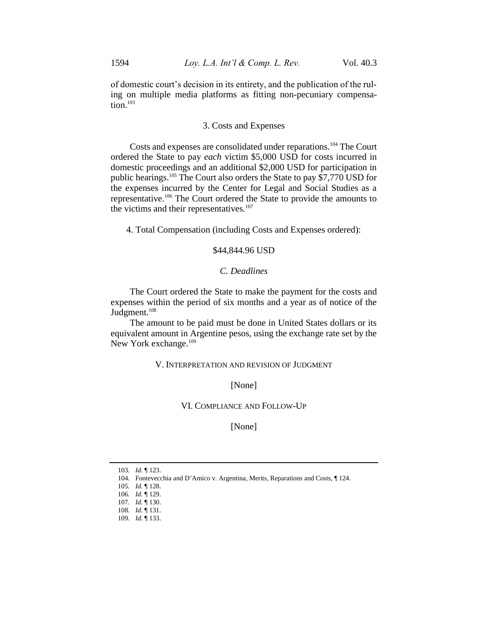of domestic court's decision in its entirety, and the publication of the ruling on multiple media platforms as fitting non-pecuniary compensation.<sup>103</sup>

### 3. Costs and Expenses

Costs and expenses are consolidated under reparations.<sup>104</sup> The Court ordered the State to pay *each* victim \$5,000 USD for costs incurred in domestic proceedings and an additional \$2,000 USD for participation in public hearings.<sup>105</sup> The Court also orders the State to pay \$7,770 USD for the expenses incurred by the Center for Legal and Social Studies as a representative.<sup>106</sup> The Court ordered the State to provide the amounts to the victims and their representatives.<sup>107</sup>

4. Total Compensation (including Costs and Expenses ordered):

# \$44,844.96 USD

### *C. Deadlines*

The Court ordered the State to make the payment for the costs and expenses within the period of six months and a year as of notice of the Judgment.<sup>108</sup>

The amount to be paid must be done in United States dollars or its equivalent amount in Argentine pesos, using the exchange rate set by the New York exchange.<sup>109</sup>

# V. INTERPRETATION AND REVISION OF JUDGMENT

[None]

# VI. COMPLIANCE AND FOLLOW-UP

[None]

<sup>103</sup>*. Id*. ¶ 123.

<sup>104</sup>*.* Fontevecchia and D'Amico v. Argentina, Merits, Reparations and Costs, ¶ 124.

<sup>105</sup>*. Id.* ¶ 128.

<sup>106</sup>*. Id.* ¶ 129.

<sup>107</sup>*. Id.* ¶ 130.

<sup>108.</sup> *Id*. ¶ 131.

<sup>109</sup>*. Id.* ¶ 133.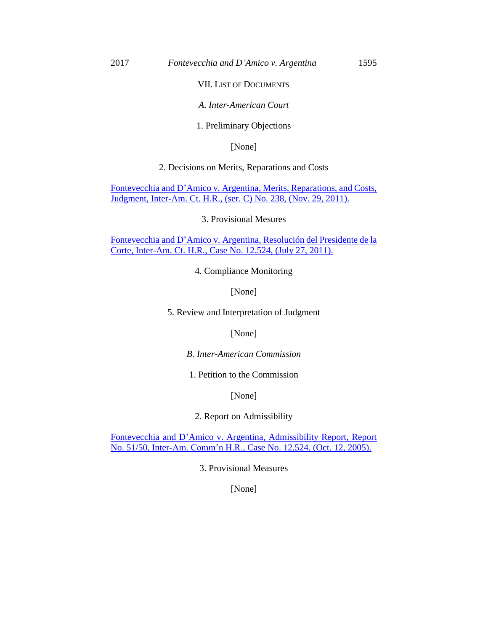# VII. LIST OF DOCUMENTS

# *A. Inter-American Court*

### 1. Preliminary Objections

[None]

# 2. Decisions on Merits, Reparations and Costs

Fontevecchia and D'Amico [v. Argentina, Merits, Reparations, and Costs,](https://iachr.lls.edu/sites/iachr.lls.edu/files/iachr/Court_and_Commission_Documents/2016-2017R3/fontevecchia_001_judgement_nov._2011.pdf)  [Judgment, Inter-Am. Ct. H.R., \(ser. C\) No. 238, \(Nov. 29, 2011\).](https://iachr.lls.edu/sites/iachr.lls.edu/files/iachr/Court_and_Commission_Documents/2016-2017R3/fontevecchia_001_judgement_nov._2011.pdf)

3. Provisional Mesures

Fontevecchia and D'Amico [v. Argentina, Resolución del Presidente de la](https://iachr.lls.edu/sites/iachr.lls.edu/files/iachr/Court_and_Commission_Documents/2016-2017R3/fontevecchia_004_resolucion_del_presidente_de_la_corte_july_2011.pdf)  [Corte, Inter-Am. Ct. H.R., Case No. 12.524, \(July 27, 2011\).](https://iachr.lls.edu/sites/iachr.lls.edu/files/iachr/Court_and_Commission_Documents/2016-2017R3/fontevecchia_004_resolucion_del_presidente_de_la_corte_july_2011.pdf)

4. Compliance Monitoring

[None]

5. Review and Interpretation of Judgment

[None]

*B. Inter-American Commission*

1. Petition to the Commission

[None]

2. Report on Admissibility

Fontevecchia and D'Amico [v. Argentina, Admissibility Report, Report](https://iachr.lls.edu/sites/iachr.lls.edu/files/iachr/Court_and_Commission_Documents/2016-2017R3/fontevecchia_005_admissibility_report_oct._2005_0.pdf)  [No. 51/50, Inter-Am. Comm'n H.R., Case No. 12.524, \(Oct. 12, 2005\).](https://iachr.lls.edu/sites/iachr.lls.edu/files/iachr/Court_and_Commission_Documents/2016-2017R3/fontevecchia_005_admissibility_report_oct._2005_0.pdf)

3. Provisional Measures

[None]